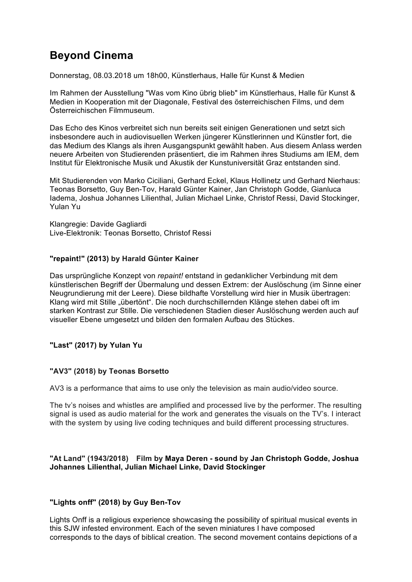# **Beyond Cinema**

Donnerstag, 08.03.2018 um 18h00, Künstlerhaus, Halle für Kunst & Medien

Im Rahmen der Ausstellung "Was vom Kino übrig blieb" im Künstlerhaus, Halle für Kunst & Medien in Kooperation mit der Diagonale, Festival des österreichischen Films, und dem Österreichischen Filmmuseum.

Das Echo des Kinos verbreitet sich nun bereits seit einigen Generationen und setzt sich insbesondere auch in audiovisuellen Werken jüngerer Künstlerinnen und Künstler fort, die das Medium des Klangs als ihren Ausgangspunkt gewählt haben. Aus diesem Anlass werden neuere Arbeiten von Studierenden präsentiert, die im Rahmen ihres Studiums am IEM, dem Institut für Elektronische Musik und Akustik der Kunstuniversität Graz entstanden sind.

Mit Studierenden von Marko Ciciliani, Gerhard Eckel, Klaus Hollinetz und Gerhard Nierhaus: Teonas Borsetto, Guy Ben-Tov, Harald Günter Kainer, Jan Christoph Godde, Gianluca Iadema, Joshua Johannes Lilienthal, Julian Michael Linke, Christof Ressi, David Stockinger, Yulan Yu

Klangregie: Davide Gagliardi Live-Elektronik: Teonas Borsetto, Christof Ressi

## **"repaint!" (2013) by Harald Günter Kainer**

Das ursprüngliche Konzept von *repaint!* entstand in gedanklicher Verbindung mit dem künstlerischen Begriff der Übermalung und dessen Extrem: der Auslöschung (im Sinne einer Neugrundierung mit der Leere). Diese bildhafte Vorstellung wird hier in Musik übertragen: Klang wird mit Stille "übertönt". Die noch durchschillernden Klänge stehen dabei oft im starken Kontrast zur Stille. Die verschiedenen Stadien dieser Auslöschung werden auch auf visueller Ebene umgesetzt und bilden den formalen Aufbau des Stückes.

## **"Last" (2017) by Yulan Yu**

#### **"AV3" (2018) by Teonas Borsetto**

AV3 is a performance that aims to use only the television as main audio/video source.

The tv's noises and whistles are amplified and processed live by the performer. The resulting signal is used as audio material for the work and generates the visuals on the TV's. I interact with the system by using live coding techniques and build different processing structures.

#### **"At Land" (1943/2018) Film by Maya Deren - sound by Jan Christoph Godde, Joshua Johannes Lilienthal, Julian Michael Linke, David Stockinger**

#### **"Lights onff" (2018) by Guy Ben-Tov**

Lights Onff is a religious experience showcasing the possibility of spiritual musical events in this SJW infested environment. Each of the seven miniatures I have composed corresponds to the days of biblical creation. The second movement contains depictions of a